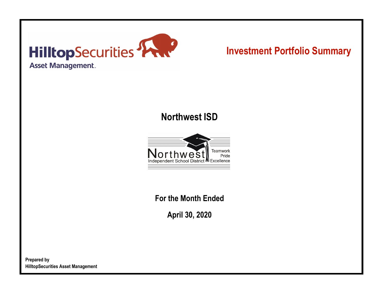

# **Investment Portfolio Summary**

## **Northwest ISD**



**For the Month Ended**

**April 30, 2020**

**Prepared by HilltopSecurities Asset Management**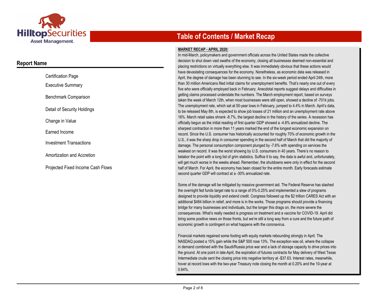

### **Report Name**

| <b>Certification Page</b>         |
|-----------------------------------|
| <b>Executive Summary</b>          |
| Benchmark Comparison              |
| Detail of Security Holdings       |
| Change in Value                   |
| Earned Income                     |
| <b>Investment Transactions</b>    |
| Amortization and Accretion        |
| Proiected Fixed Income Cash Flows |

## **Table of Contents / Market Recap**

#### **MARKET RECAP - APRIL 2020:**

In mid-March, policymakers and government officials across the United States made the collective decision to shut down vast swaths of the economy, closing all businesses deemed non-essential and placing restrictions on virtually everything else. It was immediately obvious that these actions would have devastating consequences for the economy. Nonetheless, as economic data was released in April, the degree of damage has been stunning to see. In the six-week period ended April 24th, more than 30 million Americans filed initial claims for unemployment benefits. That's nearly one out of every five who were officially employed back in February. Anecdotal reports suggest delays and difficulties in getting claims processed understate the numbers. The March employment report, based on surveys taken the week of March 12th, when most businesses were still open, showed a decline of -701k jobs. The unemployment rate, which sat at 50-year lows in February, jumped to 4.4% in March. April's data, to be released May 8th, is expected to show job losses of 21 million and an unemployment rate above 16%. March retail sales shrank -8.7%, the largest decline in the history of the series. A recession has officially begun as the initial reading of first quarter GDP showed a -4.8% annualized decline. The sharpest contraction in more than 11 years marked the end of the longest economic expansion on record. Since the U.S. consumer has historically accounted for roughly 70% of economic growth in the U.S., it was the sharp drop in consumer spending in the second half of March that did the majority of damage. The personal consumption component plunged by -7.6% with spending on services the weakest on record. It was the worst showing by U.S. consumers in 40 years. There's no reason to belabor the point with a long list of grim statistics. Suffice it to say, the data is awful and, unfortunately, will get much worse in the weeks ahead. Remember, the shutdowns were only in effect for the second half of March. For April, the economy has been closed for the entire month. Early forecasts estimate second quarter GDP will contract at a -30% annualized rate.

Some of the damage will be mitigated by massive government aid. The Federal Reserve has slashed the overnight fed funds target rate to a range of 0%-0.25% and implemented a slew of programs designed to provide liquidity and extend credit. Congress followed up the \$2 trillion CARES Act with an additional \$484 billion in relief, and more is in the works. Those programs should provide a financing bridge for many businesses and individuals, but the longer this drags on, the more severe the consequences. What's really needed is progress on treatment and a vaccine for COVID-19. April did bring some positive news on those fronts, but we're still a long way from a cure and the future path of economic growth is contingent on what happens with the coronavirus.

Financial markets regained some footing with equity markets rebounding strongly in April. The NASDAQ posted a 15% gain while the S&P 500 rose 13%. The exception was oil, where the collapse in demand combined with the Saudi/Russia price war and a lack of storage capacity to drive prices into the ground. At one point in late-April, the expiration of futures contracts for May delivery of West Texas Intermediate crude sent the closing price into negative territory at -\$37.63. Interest rates, meanwhile, hover at record lows with the two-year Treasury note closing the month at 0.20% and the 10-year at 0.64%.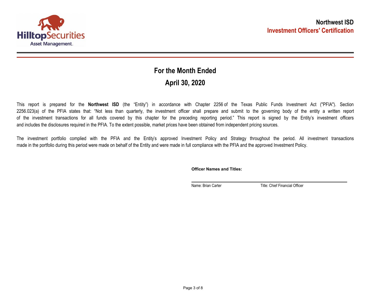

## **April 30, 2020 For the Month Ended**

This report is prepared for the **Northwest ISD** (the "Entity") in accordance with Chapter 2256 of the Texas Public Funds Investment Act ("PFIA"). Section 2256.023(a) of the PFIA states that: "Not less than quarterly, the investment officer shall prepare and submit to the governing body of the entity a written report of the investment transactions for all funds covered by this chapter for the preceding reporting period." This report is signed by the Entity's investment officers and includes the disclosures required in the PFIA. To the extent possible, market prices have been obtained from independent pricing sources.

The investment portfolio complied with the PFIA and the Entity's approved Investment Policy and Strategy throughout the period. All investment transactions made in the portfolio during this period were made on behalf of the Entity and were made in full compliance with the PFIA and the approved Investment Policy.

**Officer Names and Titles:**

Name: Brian Carter Title: Chief Financial Officer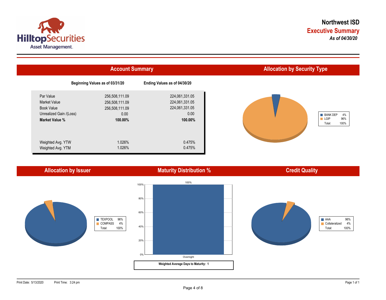



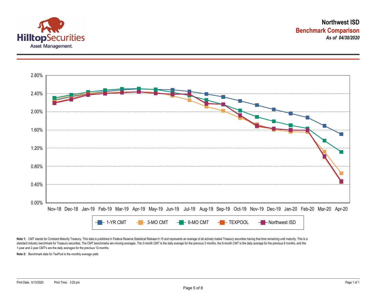



Note 1: CMT stands for Constant Maturity Treasury. This data is published in Federal Reserve Statistical Release H.15 and represents an average of all actively traded Treasury securities having that time remaining until ma standard industry benchmark for Treasury securities. The CMT benchmarks are moving averages. The 3-month CMT is the daily average for the previous 3 months, the 6-month CMT is the daily average for the previous 6 months, a 1-year and 2-year CMT's are the daily averages for the previous 12-months.

**Note 2:** Benchmark data for TexPool is the monthly average yield.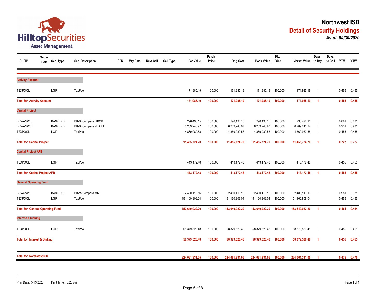

| <b>CUSIP</b>                                  | <b>Settle</b><br>Date | Sec. Type                                  | Sec. Description                                                    | <b>CPN</b> | <b>Mty Date</b> | <b>Next Call</b> | <b>Call Type</b> | Par Value                                  | Purch<br>Price                | <b>Orig Cost</b>                           | <b>Book Value</b>                          | <b>Mkt</b><br>Price           | Market Value to Mty                        | Days                                               | Days<br>to Call | <b>YTM</b>              | <b>YTW</b>              |
|-----------------------------------------------|-----------------------|--------------------------------------------|---------------------------------------------------------------------|------------|-----------------|------------------|------------------|--------------------------------------------|-------------------------------|--------------------------------------------|--------------------------------------------|-------------------------------|--------------------------------------------|----------------------------------------------------|-----------------|-------------------------|-------------------------|
| <b>Activity Account</b>                       |                       |                                            |                                                                     |            |                 |                  |                  |                                            |                               |                                            |                                            |                               |                                            |                                                    |                 |                         |                         |
| <b>TEXPOOL</b>                                |                       | LGIP                                       | TexPool                                                             |            |                 |                  |                  | 171,985.19                                 | 100.000                       | 171,985.19                                 | 171,985.19                                 | 100.000                       | 171,985.19                                 | $\overline{1}$                                     |                 | 0.455                   | 0.455                   |
| <b>Total for Activity Account</b>             |                       |                                            |                                                                     |            |                 |                  |                  | 171,985.19                                 | 100.000                       | 171,985.19                                 | 171,985.19                                 | 100.000                       | 171,985.19                                 | $\overline{1}$                                     |                 | 0.455                   | 0.455                   |
| <b>Capital Project</b>                        |                       |                                            |                                                                     |            |                 |                  |                  |                                            |                               |                                            |                                            |                               |                                            |                                                    |                 |                         |                         |
| <b>BBVA-NWL</b><br>BBVA-NWZ<br><b>TEXPOOL</b> |                       | <b>BANK DEP</b><br><b>BANK DEP</b><br>LGIP | <b>BBVA Compass LIBOR</b><br>BBVA Compass ZBA Int<br><b>TexPool</b> |            |                 |                  |                  | 296,498.15<br>6,289,245.97<br>4,869,980.58 | 100.000<br>100.000<br>100.000 | 296,498.15<br>6,289,245.97<br>4,869,980.58 | 296,498.15<br>6,289,245.97<br>4,869,980.58 | 100.000<br>100.000<br>100.000 | 296,498.15<br>6,289,245.97<br>4,869,980.58 | $\overline{1}$<br>$\overline{1}$<br>$\overline{1}$ |                 | 0.881<br>0.931<br>0.455 | 0.881<br>0.931<br>0.455 |
| <b>Total for Capital Project</b>              |                       |                                            |                                                                     |            |                 |                  |                  | 11,455,724.70                              | 100.000                       | 11,455,724.70                              | 11,455,724.70                              | 100.000                       | 11,455,724.70                              | $\overline{1}$                                     |                 | 0.727                   | 0.727                   |
| <b>Capital Project AFB</b>                    |                       |                                            |                                                                     |            |                 |                  |                  |                                            |                               |                                            |                                            |                               |                                            |                                                    |                 |                         |                         |
| <b>TEXPOOL</b>                                |                       | LGIP                                       | TexPool                                                             |            |                 |                  |                  | 413,172.48                                 | 100.000                       | 413,172.48                                 | 413,172.48                                 | 100.000                       | 413,172.48                                 | $\overline{1}$                                     |                 | 0.455                   | 0.455                   |
| <b>Total for Capital Project AFB</b>          |                       |                                            |                                                                     |            |                 |                  |                  | 413,172.48                                 | 100.000                       | 413,172.48                                 | 413,172.48                                 | 100.000                       | 413,172.48                                 | $\overline{1}$                                     |                 | 0.455                   | 0.455                   |
| <b>General Operating Fund</b>                 |                       |                                            |                                                                     |            |                 |                  |                  |                                            |                               |                                            |                                            |                               |                                            |                                                    |                 |                         |                         |
| <b>BBVA-NW</b><br><b>TEXPOOL</b>              |                       | <b>BANK DEP</b><br>LGIP                    | <b>BBVA Compass MM</b><br>TexPool                                   |            |                 |                  |                  | 2,480,113.16<br>151,160,809.04             | 100.000<br>100.000            | 2,480,113.16<br>151,160,809.04             | 2,480,113.16<br>151,160,809.04             | 100.000<br>100.000            | 2,480,113.16<br>151,160,809.04             | - 1<br>- 1                                         |                 | 0.981<br>0.455          | 0.981<br>0.455          |
| <b>Total for General Operating Fund</b>       |                       |                                            |                                                                     |            |                 |                  |                  | 153,640,922.20                             | 100.000                       | 153,640,922.20                             | 153,640,922.20                             | 100.000                       | 153,640,922.20                             | $\overline{1}$                                     |                 | 0.464                   | 0.464                   |
| <b>Interest &amp; Sinking</b>                 |                       |                                            |                                                                     |            |                 |                  |                  |                                            |                               |                                            |                                            |                               |                                            |                                                    |                 |                         |                         |
| <b>TEXPOOL</b>                                |                       | LGIP                                       | <b>TexPool</b>                                                      |            |                 |                  |                  | 58,379,526.48                              | 100.000                       | 58,379,526.48                              | 58,379,526.48                              | 100.000                       | 58,379,526.48                              | $\overline{1}$                                     |                 | 0.455                   | 0.455                   |
| <b>Total for Interest &amp; Sinking</b>       |                       |                                            |                                                                     |            |                 |                  |                  | 58,379,526.48                              | 100.000                       | 58,379,526.48                              | 58,379,526.48                              | 100.000                       | 58,379,526.48                              | $\overline{1}$                                     |                 | 0.455                   | 0.455                   |
| <b>Total for Northwest ISD</b>                |                       |                                            |                                                                     |            |                 |                  |                  | 224,061,331.05                             | 100.000                       | 224,061,331.05                             | 224,061,331.05                             | 100.000                       | 224,061,331.05                             |                                                    |                 | 0.475                   | 0.475                   |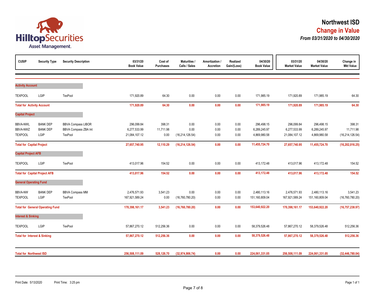

| <b>CUSIP</b>                            | <b>Security Type</b>                    | <b>Security Description</b> | 03/31/20<br><b>Book Value</b> | Cost of<br><b>Purchases</b> | <b>Maturities /</b><br>Calls / Sales | Amortization /<br>Accretion | Realized<br>Gain/(Loss) | 04/30/20<br><b>Book Value</b> | 03/31/20<br><b>Market Value</b> | 04/30/20<br><b>Market Value</b> | Change in<br><b>Mkt Value</b> |
|-----------------------------------------|-----------------------------------------|-----------------------------|-------------------------------|-----------------------------|--------------------------------------|-----------------------------|-------------------------|-------------------------------|---------------------------------|---------------------------------|-------------------------------|
|                                         |                                         |                             |                               |                             |                                      |                             |                         |                               |                                 |                                 |                               |
| <b>Activity Account</b>                 |                                         |                             |                               |                             |                                      |                             |                         |                               |                                 |                                 |                               |
| <b>TEXPOOL</b>                          | LGIP                                    | TexPool                     | 171,920.89                    | 64.30                       | 0.00                                 | 0.00                        | 0.00                    | 171,985.19                    | 171,920.89                      | 171,985.19                      | 64.30                         |
| <b>Total for Activity Account</b>       |                                         |                             | 171,920.89                    | 64.30                       | 0.00                                 | 0.00                        | 0.00                    | 171,985.19                    | 171,920.89                      | 171,985.19                      | 64.30                         |
| <b>Capital Project</b>                  |                                         |                             |                               |                             |                                      |                             |                         |                               |                                 |                                 |                               |
| <b>BBVA-NWL</b>                         | <b>BANK DEP</b>                         | <b>BBVA Compass LIBOR</b>   | 296,099.84                    | 398.31                      | 0.00                                 | 0.00                        | 0.00                    | 296,498.15                    | 296,099.84                      | 296,498.15                      | 398.31                        |
| BBVA-NWZ                                | <b>BANK DEP</b>                         | BBVA Compass ZBA Int        | 6,277,533.99                  | 11,711.98                   | 0.00                                 | 0.00                        | 0.00                    | 6,289,245.97                  | 6,277,533.99                    | 6,289,245.97                    | 11,711.98                     |
| <b>TEXPOOL</b>                          | LGIP                                    | TexPool                     | 21,084,107.12                 | 0.00                        | (16, 214, 126.54)                    | $0.00\,$                    | 0.00                    | 4,869,980.58                  | 21,084,107.12                   | 4,869,980.58                    | (16, 214, 126.54)             |
| <b>Total for Capital Project</b>        |                                         |                             | 27,657,740.95                 | 12,110.29                   | (16, 214, 126.54)                    | 0.00                        | 0.00                    | 11,455,724.70                 | 27,657,740.95                   | 11,455,724.70                   | (16, 202, 016.25)             |
| <b>Capital Project AFB</b>              |                                         |                             |                               |                             |                                      |                             |                         |                               |                                 |                                 |                               |
| <b>TEXPOOL</b>                          | LGIP                                    | TexPool                     | 413,017.96                    | 154.52                      | 0.00                                 | 0.00                        | 0.00                    | 413,172.48                    | 413,017.96                      | 413,172.48                      | 154.52                        |
|                                         | <b>Total for Capital Project AFB</b>    |                             | 413,017.96                    | 154.52                      | 0.00                                 | 0.00                        | 0.00                    | 413,172.48                    | 413,017.96                      | 413,172.48                      | 154.52                        |
| <b>General Operating Fund</b>           |                                         |                             |                               |                             |                                      |                             |                         |                               |                                 |                                 |                               |
| <b>BBVA-NW</b>                          | <b>BANK DEP</b>                         | <b>BBVA Compass MM</b>      | 2,476,571.93                  | 3,541.23                    | 0.00                                 | 0.00                        | 0.00                    | 2,480,113.16                  | 2,476,571.93                    | 2,480,113.16                    | 3,541.23                      |
| <b>TEXPOOL</b>                          | LGIP                                    | TexPool                     | 167,921,589.24                | 0.00                        | (16, 760, 780.20)                    | 0.00                        | 0.00                    | 151,160,809.04                | 167,921,589.24                  | 151,160,809.04                  | (16, 760, 780.20)             |
|                                         | <b>Total for General Operating Fund</b> |                             | 170,398,161.17                | 3,541.23                    | (16,760,780.20)                      | 0.00                        | 0.00                    | 153,640,922.20                | 170,398,161.17                  | 153,640,922.20                  | (16, 757, 238.97)             |
| <b>Interest &amp; Sinking</b>           |                                         |                             |                               |                             |                                      |                             |                         |                               |                                 |                                 |                               |
| <b>TEXPOOL</b>                          | LGIP                                    | TexPool                     | 57,867,270.12                 | 512,256.36                  | 0.00                                 | 0.00                        | 0.00                    | 58,379,526.48                 | 57,867,270.12                   | 58,379,526.48                   | 512,256.36                    |
| <b>Total for Interest &amp; Sinking</b> |                                         |                             | 57,867,270.12                 | 512,256.36                  | 0.00                                 | 0.00                        | 0.00                    | 58,379,526.48                 | 57,867,270.12                   | 58,379,526.48                   | 512,256.36                    |
| <b>Total for Northwest ISD</b>          |                                         |                             | 256,508,111.09                | 528,126.70                  | (32, 974, 906.74)                    | 0.00                        | 0.00                    | 224,061,331.05                | 256,508,111.09                  | 224,061,331.05                  | (32, 446, 780.04)             |